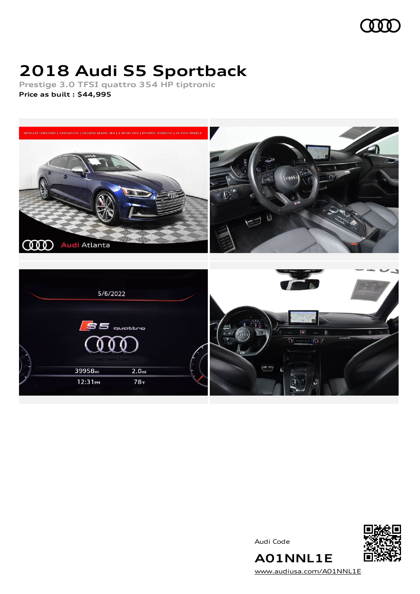

# **2018 Audi S5 Sportback**

**Prestige 3.0 TFSI quattro 354 HP tiptronic Price as built [:](#page-8-0) \$44,995**







**A01NNL1E** [www.audiusa.com/A01NNL1E](https://www.audiusa.com/A01NNL1E)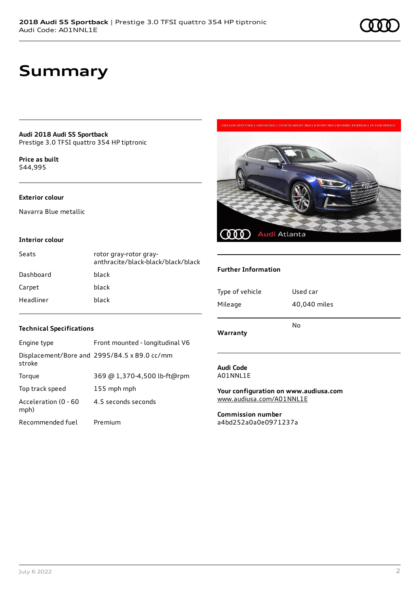**Audi 2018 Audi S5 Sportback** Prestige 3.0 TFSI quattro 354 HP tiptronic

**Price as buil[t](#page-8-0)** \$44,995

#### **Exterior colour**

Navarra Blue metallic

#### **Interior colour**

| Seats     | rotor gray-rotor gray-<br>anthracite/black-black/black/black |
|-----------|--------------------------------------------------------------|
| Dashboard | black                                                        |
| Carpet    | black                                                        |
| Headliner | black                                                        |



### **Further Information**

| Type of vehicle | Used car     |
|-----------------|--------------|
| Mileage         | 40,040 miles |
| Warranty        | No           |

#### **Audi Code** A01NNL1E

**Your configuration on www.audiusa.com** [www.audiusa.com/A01NNL1E](https://www.audiusa.com/A01NNL1E)

**Commission number** a4bd252a0a0e0971237a

#### **Technical Specifications**

| Engine type                  | Front mounted - longitudinal V6              |
|------------------------------|----------------------------------------------|
| stroke                       | Displacement/Bore and 2995/84.5 x 89.0 cc/mm |
| Torque                       | 369 @ 1,370-4,500 lb-ft@rpm                  |
| Top track speed              | 155 mph mph                                  |
| Acceleration (0 - 60<br>mph) | 4.5 seconds seconds                          |
| Recommended fuel             | Premium                                      |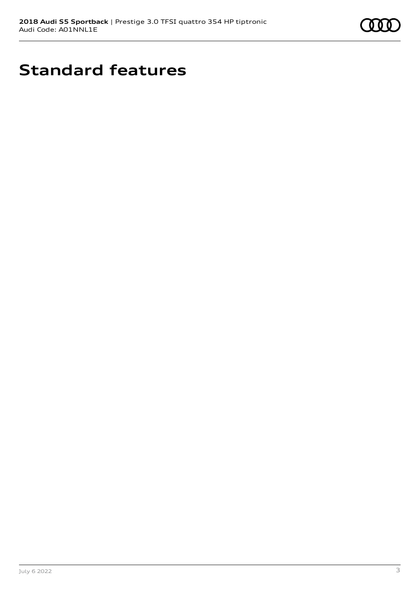

# **Standard features**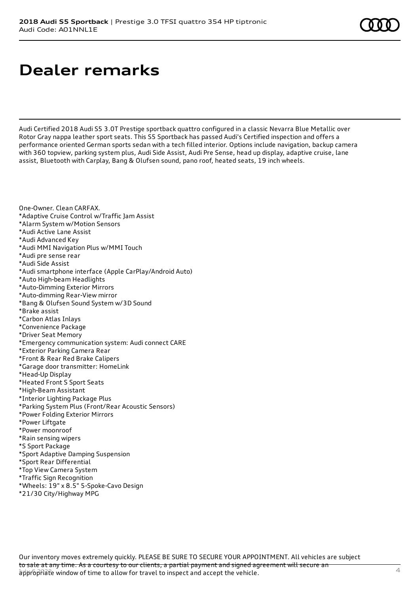# **Dealer remarks**

Audi Certified 2018 Audi S5 3.0T Prestige sportback quattro configured in a classic Nevarra Blue Metallic over Rotor Gray nappa leather sport seats. This S5 Sportback has passed Audi's Certified inspection and offers a performance oriented German sports sedan with a tech filled interior. Options include navigation, backup camera with 360 topview, parking system plus, Audi Side Assist, Audi Pre Sense, head up display, adaptive cruise, lane assist, Bluetooth with Carplay, Bang & Olufsen sound, pano roof, heated seats, 19 inch wheels.

One-Owner. Clean CARFAX.

- \*Adaptive Cruise Control w/Traffic Jam Assist
- \*Alarm System w/Motion Sensors
- \*Audi Active Lane Assist
- \*Audi Advanced Key
- \*Audi MMI Navigation Plus w/MMI Touch
- \*Audi pre sense rear
- \*Audi Side Assist
- \*Audi smartphone interface (Apple CarPlay/Android Auto)
- \*Auto High-beam Headlights
- \*Auto-Dimming Exterior Mirrors
- \*Auto-dimming Rear-View mirror
- \*Bang & Olufsen Sound System w/3D Sound
- \*Brake assist
- \*Carbon Atlas Inlays
- \*Convenience Package
- \*Driver Seat Memory
- \*Emergency communication system: Audi connect CARE
- \*Exterior Parking Camera Rear
- \*Front & Rear Red Brake Calipers
- \*Garage door transmitter: HomeLink
- \*Head-Up Display
- \*Heated Front S Sport Seats
- \*High-Beam Assistant
- \*Interior Lighting Package Plus
- \*Parking System Plus (Front/Rear Acoustic Sensors)
- \*Power Folding Exterior Mirrors
- \*Power Liftgate
- \*Power moonroof
- \*Rain sensing wipers
- \*S Sport Package
- \*Sport Adaptive Damping Suspension
- \*Sport Rear Differential
- \*Top View Camera System
- \*Traffic Sign Recognition
- \*Wheels: 19" x 8.5" 5-Spoke-Cavo Design
- \*21/30 City/Highway MPG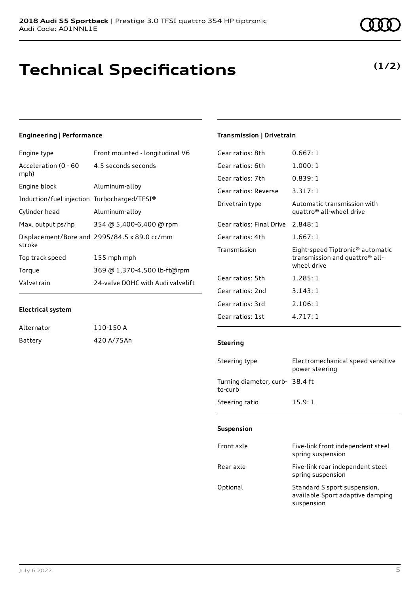# **Technical Specifications**

# **Engineering | Performance**

| Front mounted - longitudinal V6              |
|----------------------------------------------|
| 4.5 seconds seconds                          |
| Aluminum-alloy                               |
| Induction/fuel injection Turbocharged/TFSI®  |
| Aluminum-alloy                               |
| 354 @ 5,400-6,400 @ rpm                      |
| Displacement/Bore and 2995/84.5 x 89.0 cc/mm |
| 155 mph mph                                  |
| 369 @ 1,370-4,500 lb-ft@rpm                  |
| 24-valve DOHC with Audi valvelift            |
|                                              |

### **Electrical system**

| Alternator | 110-150 A  |
|------------|------------|
| Battery    | 420 A/75Ah |

# **Transmission | Drivetrain**

| Gear ratios: 8th         | 0.667:1                                                                                       |
|--------------------------|-----------------------------------------------------------------------------------------------|
| Gear ratios: 6th         | 1.000:1                                                                                       |
| Gear ratios: 7th         | 0.839:1                                                                                       |
| Gear ratios: Reverse     | 3.317:1                                                                                       |
| Drivetrain type          | Automatic transmission with<br>quattro <sup>®</sup> all-wheel drive                           |
| Gear ratios: Final Drive | 2.848:1                                                                                       |
| Gear ratios: 4th         | 1.667:1                                                                                       |
| Transmission             | Eight-speed Tiptronic® automatic<br>transmission and quattro <sup>®</sup> all-<br>wheel drive |
| Gear ratios: 5th         | 1.285:1                                                                                       |
| Gear ratios: 2nd         | 3.143:1                                                                                       |
| Gear ratios: 3rd         | 2.106:1                                                                                       |
| Gear ratios: 1st         | 4.717:1                                                                                       |
|                          |                                                                                               |

## **Steering**

| Steering type                             | Electromechanical speed sensitive<br>power steering |
|-------------------------------------------|-----------------------------------------------------|
| Turning diameter, curb-38.4 ft<br>to-curb |                                                     |
| Steering ratio                            | 15.9:1                                              |

#### **Suspension**

| Front axle | Five-link front independent steel<br>spring suspension                         |
|------------|--------------------------------------------------------------------------------|
| Rear axle  | Five-link rear independent steel<br>spring suspension                          |
| Optional   | Standard S sport suspension,<br>available Sport adaptive damping<br>suspension |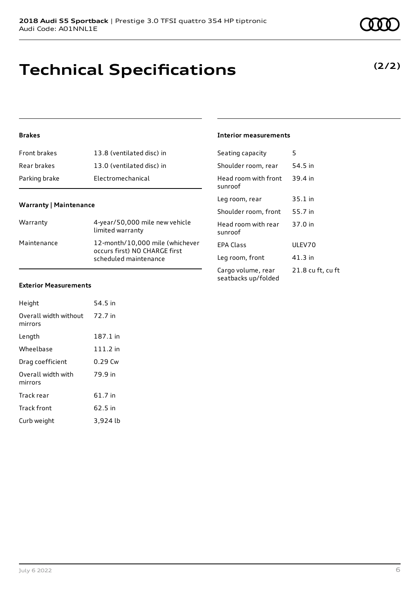# **Technical Specifications**

# **Brakes**

| Front brakes  | 13.8 (ventilated disc) in |
|---------------|---------------------------|
| Rear brakes   | 13.0 (ventilated disc) in |
| Parking brake | Electromechanical         |

### **Warranty | Maintenance**

| Warranty    | 4-year/50,000 mile new vehicle<br>limited warranty                                        |
|-------------|-------------------------------------------------------------------------------------------|
| Maintenance | 12-month/10,000 mile (whichever<br>occurs first) NO CHARGE first<br>scheduled maintenance |

### **Exterior Measurements**

| Height                           | 54.5 in    |
|----------------------------------|------------|
| Overall width without<br>mirrors | 72.7 in    |
| Length                           | 187.1 in   |
| Wheelbase                        | $111.2$ in |
| Drag coefficient                 | $0.29$ Cw  |
| Overall width with<br>mirrors    | 79.9 in    |
| Track rear                       | 61.7 in    |
| <b>Track front</b>               | 62.5 in    |
| Curb weight                      | 3,924 lb   |

## **Interior measurements**

| Seating capacity                          | 5                 |
|-------------------------------------------|-------------------|
| Shoulder room, rear                       | 54.5 in           |
| Head room with front<br>sunroof           | 39.4 in           |
| Leg room, rear                            | $35.1$ in         |
| Shoulder room, front                      | 55.7 in           |
| Head room with rear<br>sunroof            | 37.0 in           |
| FPA Class                                 | ULEV70            |
| Leg room, front                           | 41.3 in           |
| Cargo volume, rear<br>seatbacks up/folded | 21.8 cu ft, cu ft |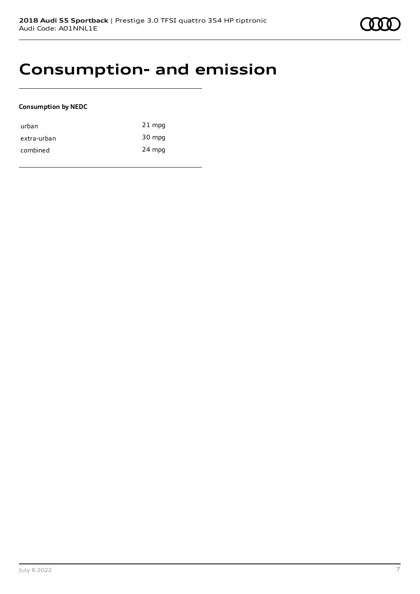# **Consumption- and emission**

### **Consumption by NEDC**

| urban       | $21$ mpg |
|-------------|----------|
| extra-urban | 30 mpg   |
| combined    | 24 mpg   |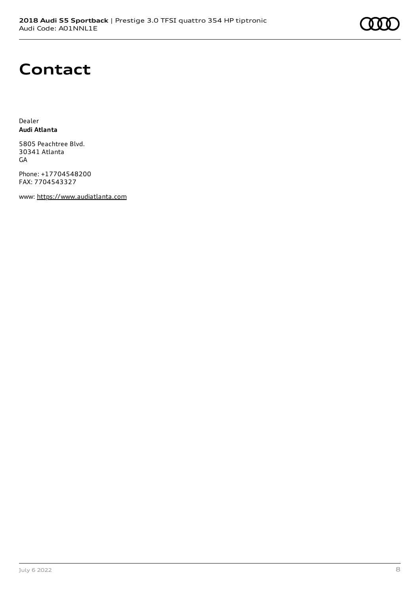# **Contact**

Dealer **Audi Atlanta**

5805 Peachtree Blvd. 30341 Atlanta GA

Phone: +17704548200 FAX: 7704543327

www: [https://www.audiatlanta.com](https://www.audiatlanta.com/)